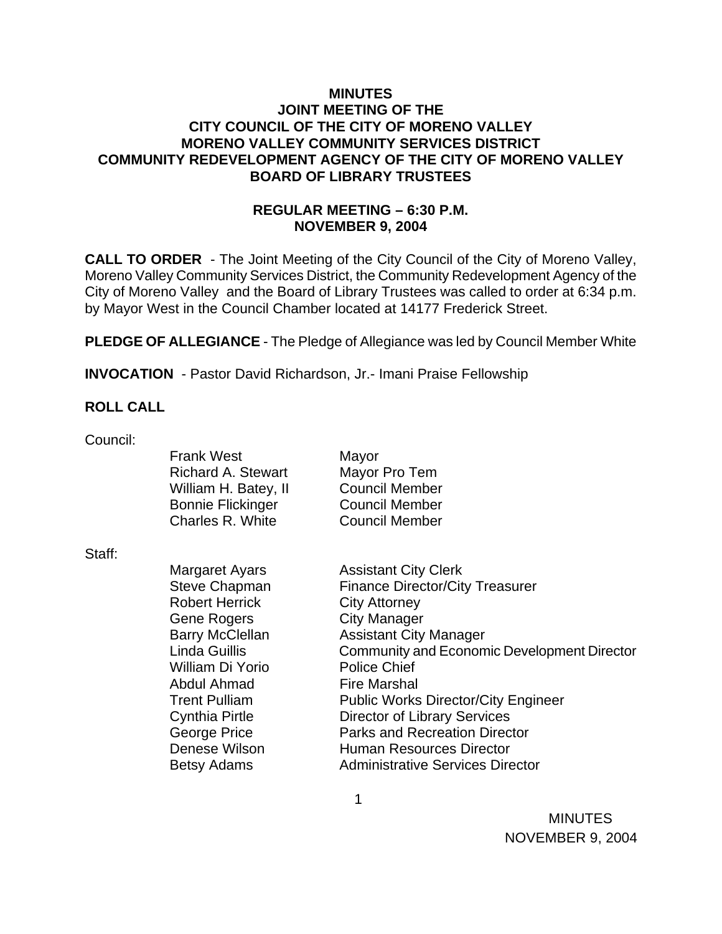## **MINUTES JOINT MEETING OF THE CITY COUNCIL OF THE CITY OF MORENO VALLEY MORENO VALLEY COMMUNITY SERVICES DISTRICT COMMUNITY REDEVELOPMENT AGENCY OF THE CITY OF MORENO VALLEY BOARD OF LIBRARY TRUSTEES**

# **REGULAR MEETING – 6:30 P.M. NOVEMBER 9, 2004**

**CALL TO ORDER** - The Joint Meeting of the City Council of the City of Moreno Valley, Moreno Valley Community Services District, the Community Redevelopment Agency of the City of Moreno Valley and the Board of Library Trustees was called to order at 6:34 p.m. by Mayor West in the Council Chamber located at 14177 Frederick Street.

**PLEDGE OF ALLEGIANCE** - The Pledge of Allegiance was led by Council Member White

**INVOCATION** - Pastor David Richardson, Jr.- Imani Praise Fellowship

 $\sim$  1

# **ROLL CALL**

Council:

|        | <b>Frank West</b><br><b>Richard A. Stewart</b><br>William H. Batey, II | Mayor<br>Mayor Pro Tem<br><b>Council Member</b> |
|--------|------------------------------------------------------------------------|-------------------------------------------------|
|        | <b>Bonnie Flickinger</b>                                               | <b>Council Member</b>                           |
|        | Charles R. White                                                       | <b>Council Member</b>                           |
| Staff: |                                                                        |                                                 |
|        | Margaret Ayars                                                         | <b>Assistant City Clerk</b>                     |
|        | <b>Steve Chapman</b>                                                   | <b>Finance Director/City Treasurer</b>          |
|        | <b>Robert Herrick</b>                                                  | <b>City Attorney</b>                            |
|        | <b>Gene Rogers</b>                                                     | <b>City Manager</b>                             |
|        | <b>Barry McClellan</b>                                                 | <b>Assistant City Manager</b>                   |
|        | Linda Guillis                                                          | Community and Economic Development Director     |
|        | William Di Yorio                                                       | <b>Police Chief</b>                             |
|        | Abdul Ahmad                                                            | <b>Fire Marshal</b>                             |
|        | <b>Trent Pulliam</b>                                                   | <b>Public Works Director/City Engineer</b>      |
|        | <b>Cynthia Pirtle</b>                                                  | <b>Director of Library Services</b>             |
|        | George Price                                                           | <b>Parks and Recreation Director</b>            |
|        | Denese Wilson                                                          | Human Resources Director                        |
|        | Betsy Adams                                                            | <b>Administrative Services Director</b>         |

**MINUTES**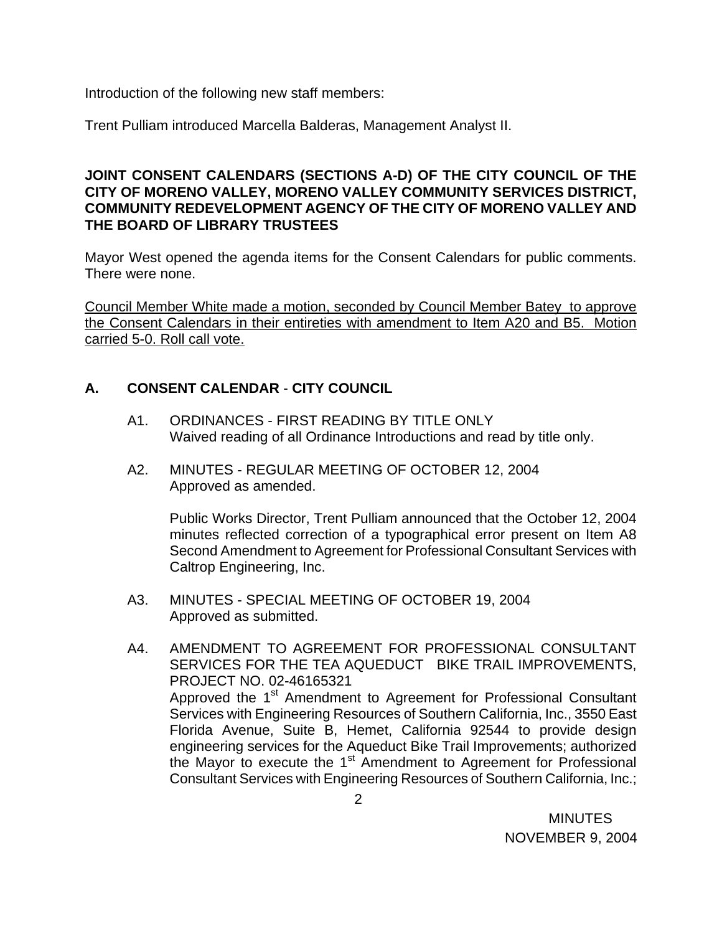Introduction of the following new staff members:

Trent Pulliam introduced Marcella Balderas, Management Analyst II.

## **JOINT CONSENT CALENDARS (SECTIONS A-D) OF THE CITY COUNCIL OF THE CITY OF MORENO VALLEY, MORENO VALLEY COMMUNITY SERVICES DISTRICT, COMMUNITY REDEVELOPMENT AGENCY OF THE CITY OF MORENO VALLEY AND THE BOARD OF LIBRARY TRUSTEES**

Mayor West opened the agenda items for the Consent Calendars for public comments. There were none.

Council Member White made a motion, seconded by Council Member Batey to approve the Consent Calendars in their entireties with amendment to Item A20 and B5. Motion carried 5-0. Roll call vote.

# **A. CONSENT CALENDAR** - **CITY COUNCIL**

- A1. ORDINANCES FIRST READING BY TITLE ONLY Waived reading of all Ordinance Introductions and read by title only.
- A2. MINUTES REGULAR MEETING OF OCTOBER 12, 2004 Approved as amended.

Public Works Director, Trent Pulliam announced that the October 12, 2004 minutes reflected correction of a typographical error present on Item A8 Second Amendment to Agreement for Professional Consultant Services with Caltrop Engineering, Inc.

A3. MINUTES - SPECIAL MEETING OF OCTOBER 19, 2004 Approved as submitted.

A4. AMENDMENT TO AGREEMENT FOR PROFESSIONAL CONSULTANT SERVICES FOR THE TEA AQUEDUCT BIKE TRAIL IMPROVEMENTS, PROJECT NO. 02-46165321 Approved the 1<sup>st</sup> Amendment to Agreement for Professional Consultant Services with Engineering Resources of Southern California, Inc., 3550 East Florida Avenue, Suite B, Hemet, California 92544 to provide design engineering services for the Aqueduct Bike Trail Improvements; authorized the Mayor to execute the  $1<sup>st</sup>$  Amendment to Agreement for Professional Consultant Services with Engineering Resources of Southern California, Inc.;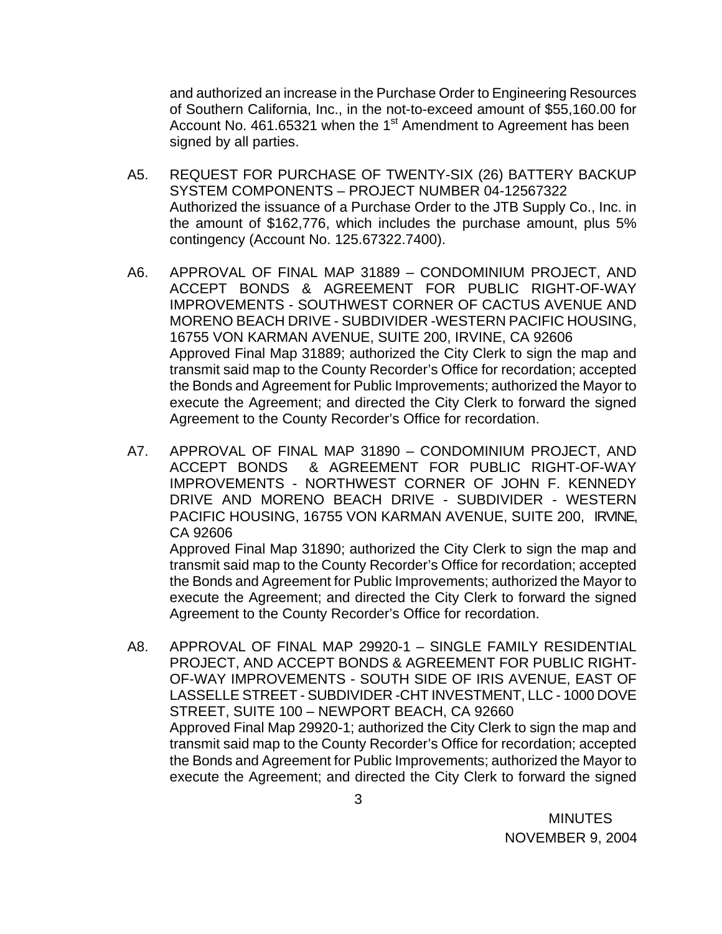and authorized an increase in the Purchase Order to Engineering Resources of Southern California, Inc., in the not-to-exceed amount of \$55,160.00 for Account No. 461.65321 when the 1<sup>st</sup> Amendment to Agreement has been signed by all parties.

- A5. REQUEST FOR PURCHASE OF TWENTY-SIX (26) BATTERY BACKUP SYSTEM COMPONENTS – PROJECT NUMBER 04-12567322 Authorized the issuance of a Purchase Order to the JTB Supply Co., Inc. in the amount of \$162,776, which includes the purchase amount, plus 5% contingency (Account No. 125.67322.7400).
- A6. APPROVAL OF FINAL MAP 31889 CONDOMINIUM PROJECT, AND ACCEPT BONDS & AGREEMENT FOR PUBLIC RIGHT-OF-WAY IMPROVEMENTS - SOUTHWEST CORNER OF CACTUS AVENUE AND MORENO BEACH DRIVE - SUBDIVIDER -WESTERN PACIFIC HOUSING, 16755 VON KARMAN AVENUE, SUITE 200, IRVINE, CA 92606 Approved Final Map 31889; authorized the City Clerk to sign the map and transmit said map to the County Recorder's Office for recordation; accepted the Bonds and Agreement for Public Improvements; authorized the Mayor to execute the Agreement; and directed the City Clerk to forward the signed Agreement to the County Recorder's Office for recordation.
- A7. APPROVAL OF FINAL MAP 31890 CONDOMINIUM PROJECT, AND ACCEPT BONDS & AGREEMENT FOR PUBLIC RIGHT-OF-WAY IMPROVEMENTS - NORTHWEST CORNER OF JOHN F. KENNEDY DRIVE AND MORENO BEACH DRIVE - SUBDIVIDER - WESTERN PACIFIC HOUSING, 16755 VON KARMAN AVENUE, SUITE 200, IRVINE, CA 92606

Approved Final Map 31890; authorized the City Clerk to sign the map and transmit said map to the County Recorder's Office for recordation; accepted the Bonds and Agreement for Public Improvements; authorized the Mayor to execute the Agreement; and directed the City Clerk to forward the signed Agreement to the County Recorder's Office for recordation.

A8. APPROVAL OF FINAL MAP 29920-1 – SINGLE FAMILY RESIDENTIAL PROJECT, AND ACCEPT BONDS & AGREEMENT FOR PUBLIC RIGHT-OF-WAY IMPROVEMENTS - SOUTH SIDE OF IRIS AVENUE, EAST OF LASSELLE STREET - SUBDIVIDER -CHT INVESTMENT, LLC - 1000 DOVE STREET, SUITE 100 – NEWPORT BEACH, CA 92660 Approved Final Map 29920-1; authorized the City Clerk to sign the map and transmit said map to the County Recorder's Office for recordation; accepted the Bonds and Agreement for Public Improvements; authorized the Mayor to execute the Agreement; and directed the City Clerk to forward the signed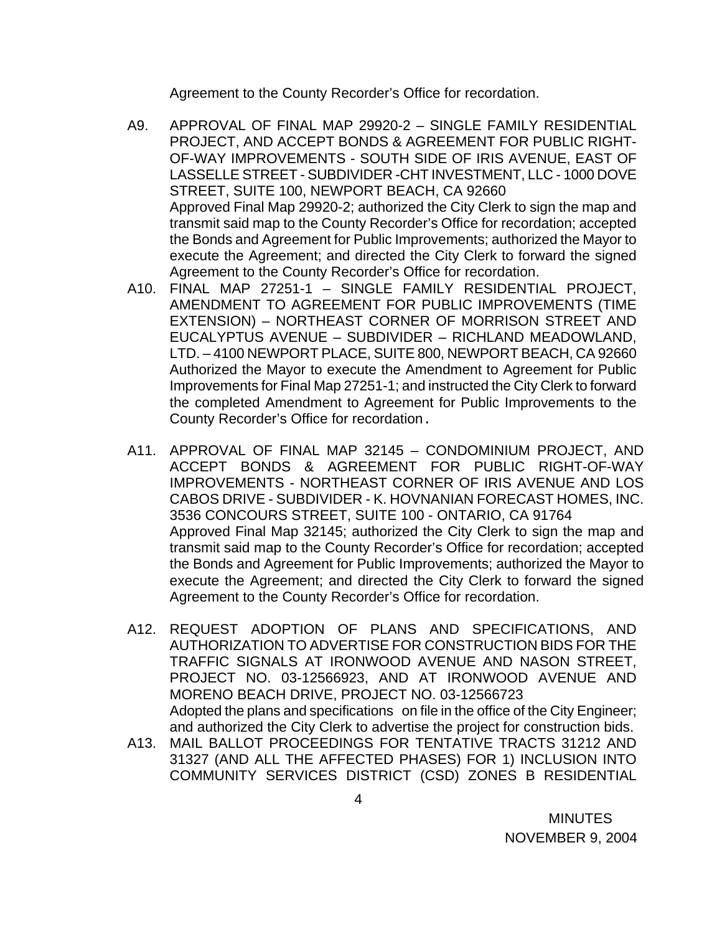Agreement to the County Recorder's Office for recordation.

- A9. APPROVAL OF FINAL MAP 29920-2 SINGLE FAMILY RESIDENTIAL PROJECT, AND ACCEPT BONDS & AGREEMENT FOR PUBLIC RIGHT-OF-WAY IMPROVEMENTS - SOUTH SIDE OF IRIS AVENUE, EAST OF LASSELLE STREET - SUBDIVIDER -CHT INVESTMENT, LLC - 1000 DOVE STREET, SUITE 100, NEWPORT BEACH, CA 92660 Approved Final Map 29920-2; authorized the City Clerk to sign the map and transmit said map to the County Recorder's Office for recordation; accepted the Bonds and Agreement for Public Improvements; authorized the Mayor to execute the Agreement; and directed the City Clerk to forward the signed Agreement to the County Recorder's Office for recordation.
- A10. FINAL MAP 27251-1 SINGLE FAMILY RESIDENTIAL PROJECT, AMENDMENT TO AGREEMENT FOR PUBLIC IMPROVEMENTS (TIME EXTENSION) – NORTHEAST CORNER OF MORRISON STREET AND EUCALYPTUS AVENUE – SUBDIVIDER – RICHLAND MEADOWLAND, LTD. – 4100 NEWPORT PLACE, SUITE 800, NEWPORT BEACH, CA 92660 Authorized the Mayor to execute the Amendment to Agreement for Public Improvements for Final Map 27251-1; and instructed the City Clerk to forward the completed Amendment to Agreement for Public Improvements to the County Recorder's Office for recordation.
- A11. APPROVAL OF FINAL MAP 32145 CONDOMINIUM PROJECT, AND ACCEPT BONDS & AGREEMENT FOR PUBLIC RIGHT-OF-WAY IMPROVEMENTS - NORTHEAST CORNER OF IRIS AVENUE AND LOS CABOS DRIVE - SUBDIVIDER - K. HOVNANIAN FORECAST HOMES, INC. 3536 CONCOURS STREET, SUITE 100 - ONTARIO, CA 91764 Approved Final Map 32145; authorized the City Clerk to sign the map and transmit said map to the County Recorder's Office for recordation; accepted the Bonds and Agreement for Public Improvements; authorized the Mayor to execute the Agreement; and directed the City Clerk to forward the signed Agreement to the County Recorder's Office for recordation.
- A12. REQUEST ADOPTION OF PLANS AND SPECIFICATIONS, AND AUTHORIZATION TO ADVERTISE FOR CONSTRUCTION BIDS FOR THE TRAFFIC SIGNALS AT IRONWOOD AVENUE AND NASON STREET, PROJECT NO. 03-12566923, AND AT IRONWOOD AVENUE AND MORENO BEACH DRIVE, PROJECT NO. 03-12566723 Adopted the plans and specifications on file in the office of the City Engineer; and authorized the City Clerk to advertise the project for construction bids.
- A13. MAIL BALLOT PROCEEDINGS FOR TENTATIVE TRACTS 31212 AND 31327 (AND ALL THE AFFECTED PHASES) FOR 1) INCLUSION INTO COMMUNITY SERVICES DISTRICT (CSD) ZONES B RESIDENTIAL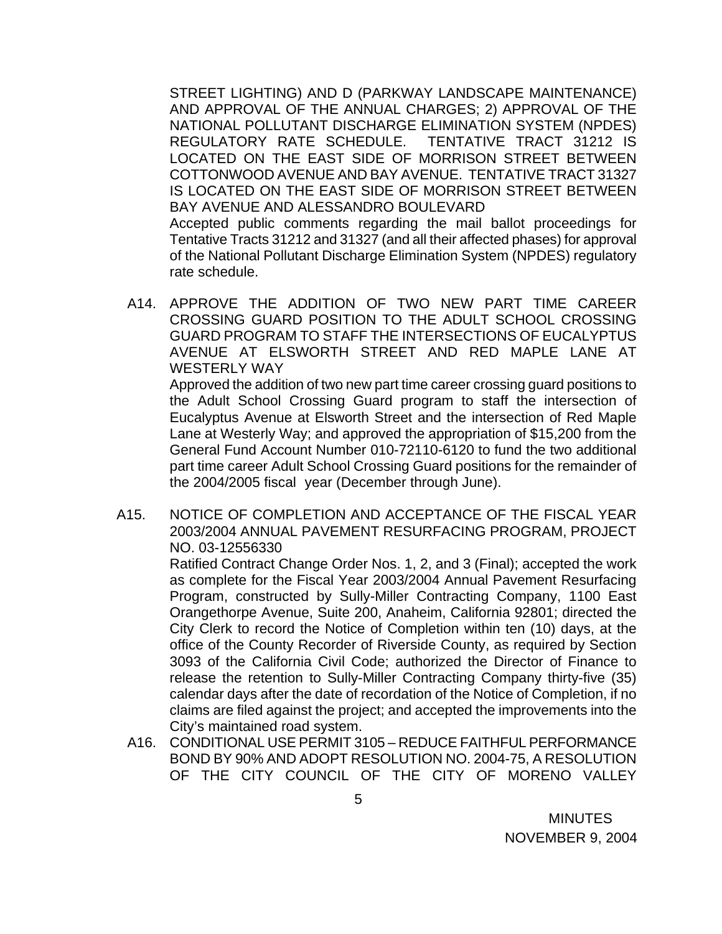STREET LIGHTING) AND D (PARKWAY LANDSCAPE MAINTENANCE) AND APPROVAL OF THE ANNUAL CHARGES; 2) APPROVAL OF THE NATIONAL POLLUTANT DISCHARGE ELIMINATION SYSTEM (NPDES) REGULATORY RATE SCHEDULE. TENTATIVE TRACT 31212 IS LOCATED ON THE EAST SIDE OF MORRISON STREET BETWEEN COTTONWOOD AVENUE AND BAY AVENUE. TENTATIVE TRACT 31327 IS LOCATED ON THE EAST SIDE OF MORRISON STREET BETWEEN BAY AVENUE AND ALESSANDRO BOULEVARD

 Accepted public comments regarding the mail ballot proceedings for Tentative Tracts 31212 and 31327 (and all their affected phases) for approval of the National Pollutant Discharge Elimination System (NPDES) regulatory rate schedule.

A14. APPROVE THE ADDITION OF TWO NEW PART TIME CAREER CROSSING GUARD POSITION TO THE ADULT SCHOOL CROSSING GUARD PROGRAM TO STAFF THE INTERSECTIONS OF EUCALYPTUS AVENUE AT ELSWORTH STREET AND RED MAPLE LANE AT WESTERLY WAY

 Approved the addition of two new part time career crossing guard positions to the Adult School Crossing Guard program to staff the intersection of Eucalyptus Avenue at Elsworth Street and the intersection of Red Maple Lane at Westerly Way; and approved the appropriation of \$15,200 from the General Fund Account Number 010-72110-6120 to fund the two additional part time career Adult School Crossing Guard positions for the remainder of the 2004/2005 fiscal year (December through June).

A15. NOTICE OF COMPLETION AND ACCEPTANCE OF THE FISCAL YEAR 2003/2004 ANNUAL PAVEMENT RESURFACING PROGRAM, PROJECT NO. 03-12556330

> Ratified Contract Change Order Nos. 1, 2, and 3 (Final); accepted the work as complete for the Fiscal Year 2003/2004 Annual Pavement Resurfacing Program, constructed by Sully-Miller Contracting Company, 1100 East Orangethorpe Avenue, Suite 200, Anaheim, California 92801; directed the City Clerk to record the Notice of Completion within ten (10) days, at the office of the County Recorder of Riverside County, as required by Section 3093 of the California Civil Code; authorized the Director of Finance to release the retention to Sully-Miller Contracting Company thirty-five (35) calendar days after the date of recordation of the Notice of Completion, if no claims are filed against the project; and accepted the improvements into the City's maintained road system.

A16. CONDITIONAL USE PERMIT 3105 – REDUCE FAITHFUL PERFORMANCE BOND BY 90% AND ADOPT RESOLUTION NO. 2004-75, A RESOLUTION OF THE CITY COUNCIL OF THE CITY OF MORENO VALLEY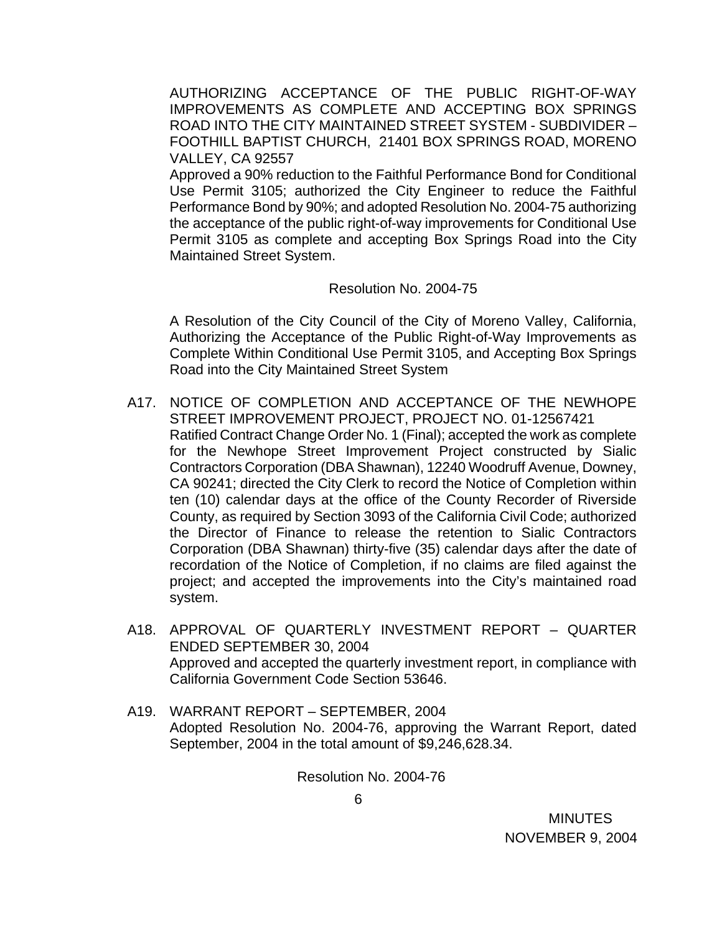AUTHORIZING ACCEPTANCE OF THE PUBLIC RIGHT-OF-WAY IMPROVEMENTS AS COMPLETE AND ACCEPTING BOX SPRINGS ROAD INTO THE CITY MAINTAINED STREET SYSTEM - SUBDIVIDER – FOOTHILL BAPTIST CHURCH, 21401 BOX SPRINGS ROAD, MORENO VALLEY, CA 92557

 Approved a 90% reduction to the Faithful Performance Bond for Conditional Use Permit 3105; authorized the City Engineer to reduce the Faithful Performance Bond by 90%; and adopted Resolution No. 2004-75 authorizing the acceptance of the public right-of-way improvements for Conditional Use Permit 3105 as complete and accepting Box Springs Road into the City Maintained Street System.

#### Resolution No. 2004-75

 A Resolution of the City Council of the City of Moreno Valley, California, Authorizing the Acceptance of the Public Right-of-Way Improvements as Complete Within Conditional Use Permit 3105, and Accepting Box Springs Road into the City Maintained Street System

- A17. NOTICE OF COMPLETION AND ACCEPTANCE OF THE NEWHOPE STREET IMPROVEMENT PROJECT, PROJECT NO. 01-12567421 Ratified Contract Change Order No. 1 (Final); accepted the work as complete for the Newhope Street Improvement Project constructed by Sialic Contractors Corporation (DBA Shawnan), 12240 Woodruff Avenue, Downey, CA 90241; directed the City Clerk to record the Notice of Completion within ten (10) calendar days at the office of the County Recorder of Riverside County, as required by Section 3093 of the California Civil Code; authorized the Director of Finance to release the retention to Sialic Contractors Corporation (DBA Shawnan) thirty-five (35) calendar days after the date of recordation of the Notice of Completion, if no claims are filed against the project; and accepted the improvements into the City's maintained road system.
- A18. APPROVAL OF QUARTERLY INVESTMENT REPORT QUARTER ENDED SEPTEMBER 30, 2004 Approved and accepted the quarterly investment report, in compliance with California Government Code Section 53646.
- A19. WARRANT REPORT SEPTEMBER, 2004 Adopted Resolution No. 2004-76, approving the Warrant Report, dated September, 2004 in the total amount of \$9,246,628.34.

Resolution No. 2004-76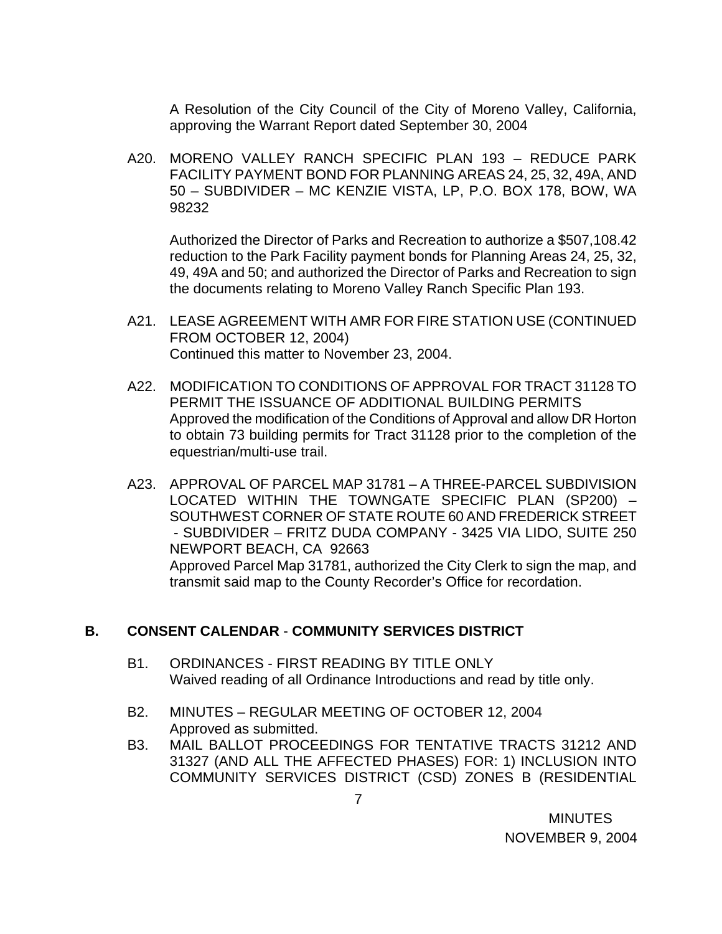A Resolution of the City Council of the City of Moreno Valley, California, approving the Warrant Report dated September 30, 2004

A20. MORENO VALLEY RANCH SPECIFIC PLAN 193 – REDUCE PARK FACILITY PAYMENT BOND FOR PLANNING AREAS 24, 25, 32, 49A, AND 50 – SUBDIVIDER – MC KENZIE VISTA, LP, P.O. BOX 178, BOW, WA 98232

 Authorized the Director of Parks and Recreation to authorize a \$507,108.42 reduction to the Park Facility payment bonds for Planning Areas 24, 25, 32, 49, 49A and 50; and authorized the Director of Parks and Recreation to sign the documents relating to Moreno Valley Ranch Specific Plan 193.

- A21. LEASE AGREEMENT WITH AMR FOR FIRE STATION USE (CONTINUED FROM OCTOBER 12, 2004) Continued this matter to November 23, 2004.
- A22. MODIFICATION TO CONDITIONS OF APPROVAL FOR TRACT 31128 TO PERMIT THE ISSUANCE OF ADDITIONAL BUILDING PERMITS Approved the modification of the Conditions of Approval and allow DR Horton to obtain 73 building permits for Tract 31128 prior to the completion of the equestrian/multi-use trail.
- A23. APPROVAL OF PARCEL MAP 31781 A THREE-PARCEL SUBDIVISION LOCATED WITHIN THE TOWNGATE SPECIFIC PLAN (SP200) – SOUTHWEST CORNER OF STATE ROUTE 60 AND FREDERICK STREET - SUBDIVIDER – FRITZ DUDA COMPANY - 3425 VIA LIDO, SUITE 250 NEWPORT BEACH, CA 92663 Approved Parcel Map 31781, authorized the City Clerk to sign the map, and transmit said map to the County Recorder's Office for recordation.

# **B. CONSENT CALENDAR** - **COMMUNITY SERVICES DISTRICT**

- B1. ORDINANCES FIRST READING BY TITLE ONLY Waived reading of all Ordinance Introductions and read by title only.
- B2. MINUTES REGULAR MEETING OF OCTOBER 12, 2004 Approved as submitted.
- B3. MAIL BALLOT PROCEEDINGS FOR TENTATIVE TRACTS 31212 AND 31327 (AND ALL THE AFFECTED PHASES) FOR: 1) INCLUSION INTO COMMUNITY SERVICES DISTRICT (CSD) ZONES B (RESIDENTIAL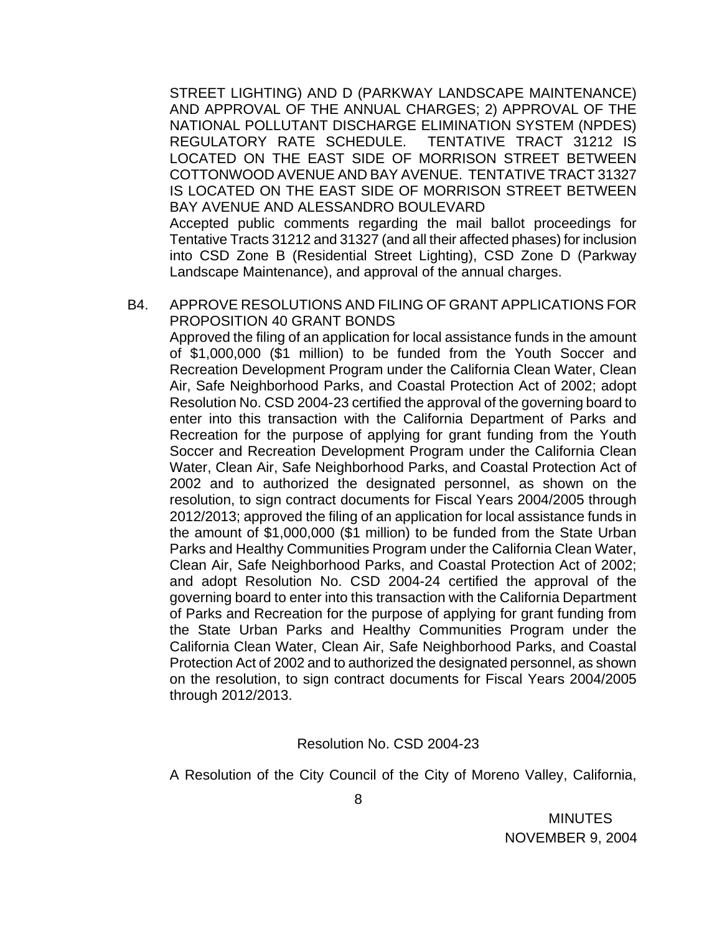STREET LIGHTING) AND D (PARKWAY LANDSCAPE MAINTENANCE) AND APPROVAL OF THE ANNUAL CHARGES; 2) APPROVAL OF THE NATIONAL POLLUTANT DISCHARGE ELIMINATION SYSTEM (NPDES) REGULATORY RATE SCHEDULE. TENTATIVE TRACT 31212 IS LOCATED ON THE EAST SIDE OF MORRISON STREET BETWEEN COTTONWOOD AVENUE AND BAY AVENUE. TENTATIVE TRACT 31327 IS LOCATED ON THE EAST SIDE OF MORRISON STREET BETWEEN BAY AVENUE AND ALESSANDRO BOULEVARD

 Accepted public comments regarding the mail ballot proceedings for Tentative Tracts 31212 and 31327 (and all their affected phases) for inclusion into CSD Zone B (Residential Street Lighting), CSD Zone D (Parkway Landscape Maintenance), and approval of the annual charges.

B4. APPROVE RESOLUTIONS AND FILING OF GRANT APPLICATIONS FOR PROPOSITION 40 GRANT BONDS

Approved the filing of an application for local assistance funds in the amount of \$1,000,000 (\$1 million) to be funded from the Youth Soccer and Recreation Development Program under the California Clean Water, Clean Air, Safe Neighborhood Parks, and Coastal Protection Act of 2002; adopt Resolution No. CSD 2004-23 certified the approval of the governing board to enter into this transaction with the California Department of Parks and Recreation for the purpose of applying for grant funding from the Youth Soccer and Recreation Development Program under the California Clean Water, Clean Air, Safe Neighborhood Parks, and Coastal Protection Act of 2002 and to authorized the designated personnel, as shown on the resolution, to sign contract documents for Fiscal Years 2004/2005 through 2012/2013; approved the filing of an application for local assistance funds in the amount of \$1,000,000 (\$1 million) to be funded from the State Urban Parks and Healthy Communities Program under the California Clean Water, Clean Air, Safe Neighborhood Parks, and Coastal Protection Act of 2002; and adopt Resolution No. CSD 2004-24 certified the approval of the governing board to enter into this transaction with the California Department of Parks and Recreation for the purpose of applying for grant funding from the State Urban Parks and Healthy Communities Program under the California Clean Water, Clean Air, Safe Neighborhood Parks, and Coastal Protection Act of 2002 and to authorized the designated personnel, as shown on the resolution, to sign contract documents for Fiscal Years 2004/2005 through 2012/2013.

Resolution No. CSD 2004-23

A Resolution of the City Council of the City of Moreno Valley, California,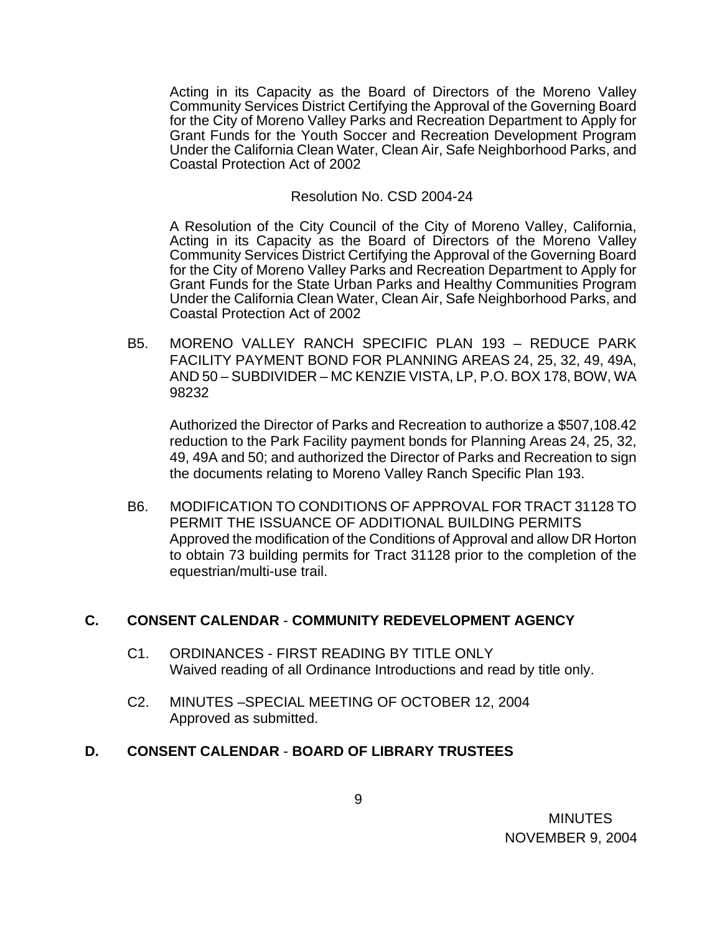Acting in its Capacity as the Board of Directors of the Moreno Valley Community Services District Certifying the Approval of the Governing Board for the City of Moreno Valley Parks and Recreation Department to Apply for Grant Funds for the Youth Soccer and Recreation Development Program Under the California Clean Water, Clean Air, Safe Neighborhood Parks, and Coastal Protection Act of 2002

#### Resolution No. CSD 2004-24

A Resolution of the City Council of the City of Moreno Valley, California, Acting in its Capacity as the Board of Directors of the Moreno Valley Community Services District Certifying the Approval of the Governing Board for the City of Moreno Valley Parks and Recreation Department to Apply for Grant Funds for the State Urban Parks and Healthy Communities Program Under the California Clean Water, Clean Air, Safe Neighborhood Parks, and Coastal Protection Act of 2002

B5. MORENO VALLEY RANCH SPECIFIC PLAN 193 – REDUCE PARK FACILITY PAYMENT BOND FOR PLANNING AREAS 24, 25, 32, 49, 49A, AND 50 – SUBDIVIDER – MC KENZIE VISTA, LP, P.O. BOX 178, BOW, WA 98232

 Authorized the Director of Parks and Recreation to authorize a \$507,108.42 reduction to the Park Facility payment bonds for Planning Areas 24, 25, 32, 49, 49A and 50; and authorized the Director of Parks and Recreation to sign the documents relating to Moreno Valley Ranch Specific Plan 193.

B6. MODIFICATION TO CONDITIONS OF APPROVAL FOR TRACT 31128 TO PERMIT THE ISSUANCE OF ADDITIONAL BUILDING PERMITS Approved the modification of the Conditions of Approval and allow DR Horton to obtain 73 building permits for Tract 31128 prior to the completion of the equestrian/multi-use trail.

## **C. CONSENT CALENDAR** - **COMMUNITY REDEVELOPMENT AGENCY**

- C1. ORDINANCES FIRST READING BY TITLE ONLY Waived reading of all Ordinance Introductions and read by title only.
- C2. MINUTES –SPECIAL MEETING OF OCTOBER 12, 2004 Approved as submitted.

## **D. CONSENT CALENDAR** - **BOARD OF LIBRARY TRUSTEES**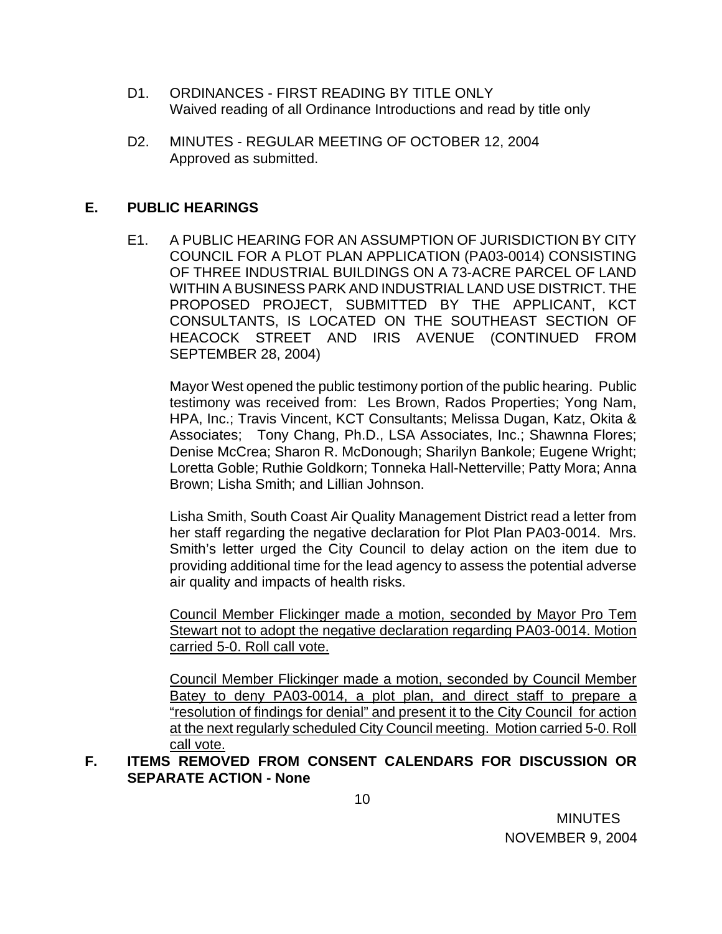- D1. ORDINANCES FIRST READING BY TITLE ONLY Waived reading of all Ordinance Introductions and read by title only
- D2. MINUTES REGULAR MEETING OF OCTOBER 12, 2004 Approved as submitted.

## **E. PUBLIC HEARINGS**

E1. A PUBLIC HEARING FOR AN ASSUMPTION OF JURISDICTION BY CITY COUNCIL FOR A PLOT PLAN APPLICATION (PA03-0014) CONSISTING OF THREE INDUSTRIAL BUILDINGS ON A 73-ACRE PARCEL OF LAND WITHIN A BUSINESS PARK AND INDUSTRIAL LAND USE DISTRICT. THE PROPOSED PROJECT, SUBMITTED BY THE APPLICANT, KCT CONSULTANTS, IS LOCATED ON THE SOUTHEAST SECTION OF HEACOCK STREET AND IRIS AVENUE (CONTINUED FROM SEPTEMBER 28, 2004)

Mayor West opened the public testimony portion of the public hearing. Public testimony was received from: Les Brown, Rados Properties; Yong Nam, HPA, Inc.; Travis Vincent, KCT Consultants; Melissa Dugan, Katz, Okita & Associates; Tony Chang, Ph.D., LSA Associates, Inc.; Shawnna Flores; Denise McCrea; Sharon R. McDonough; Sharilyn Bankole; Eugene Wright; Loretta Goble; Ruthie Goldkorn; Tonneka Hall-Netterville; Patty Mora; Anna Brown; Lisha Smith; and Lillian Johnson.

 Lisha Smith, South Coast Air Quality Management District read a letter from her staff regarding the negative declaration for Plot Plan PA03-0014. Mrs. Smith's letter urged the City Council to delay action on the item due to providing additional time for the lead agency to assess the potential adverse air quality and impacts of health risks.

Council Member Flickinger made a motion, seconded by Mayor Pro Tem Stewart not to adopt the negative declaration regarding PA03-0014. Motion carried 5-0. Roll call vote.

Council Member Flickinger made a motion, seconded by Council Member Batey to deny PA03-0014, a plot plan, and direct staff to prepare a "resolution of findings for denial" and present it to the City Council for action at the next regularly scheduled City Council meeting. Motion carried 5-0. Roll call vote.

**F. ITEMS REMOVED FROM CONSENT CALENDARS FOR DISCUSSION OR SEPARATE ACTION - None**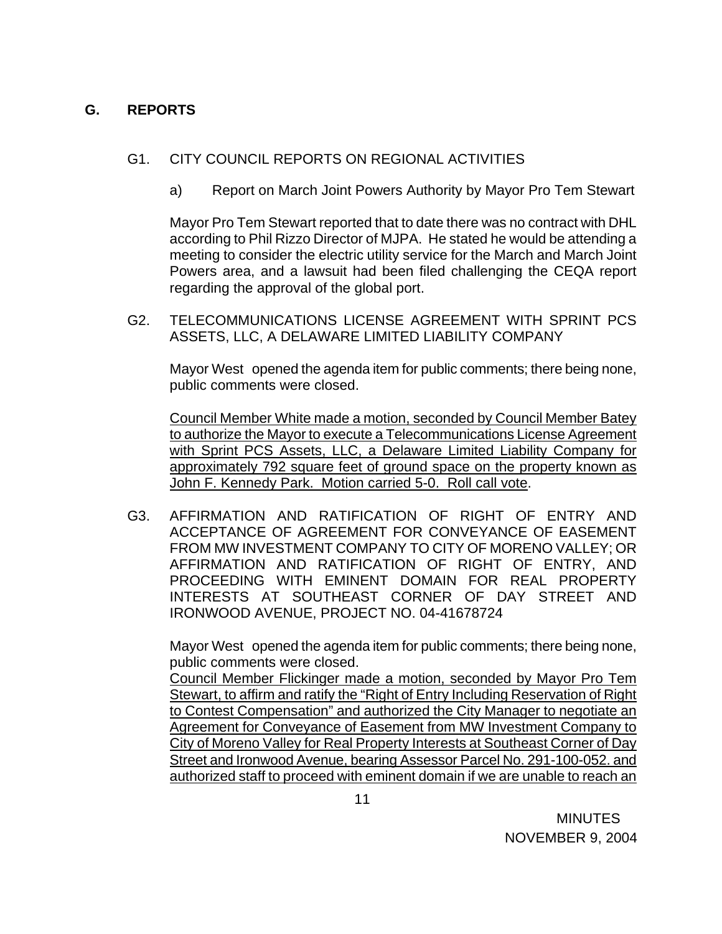# **G. REPORTS**

## G1. CITY COUNCIL REPORTS ON REGIONAL ACTIVITIES

a) Report on March Joint Powers Authority by Mayor Pro Tem Stewart

Mayor Pro Tem Stewart reported that to date there was no contract with DHL according to Phil Rizzo Director of MJPA. He stated he would be attending a meeting to consider the electric utility service for the March and March Joint Powers area, and a lawsuit had been filed challenging the CEQA report regarding the approval of the global port.

G2. TELECOMMUNICATIONS LICENSE AGREEMENT WITH SPRINT PCS ASSETS, LLC, A DELAWARE LIMITED LIABILITY COMPANY

Mayor West opened the agenda item for public comments; there being none, public comments were closed.

Council Member White made a motion, seconded by Council Member Batey to authorize the Mayor to execute a Telecommunications License Agreement with Sprint PCS Assets, LLC, a Delaware Limited Liability Company for approximately 792 square feet of ground space on the property known as John F. Kennedy Park. Motion carried 5-0. Roll call vote.

G3. AFFIRMATION AND RATIFICATION OF RIGHT OF ENTRY AND ACCEPTANCE OF AGREEMENT FOR CONVEYANCE OF EASEMENT FROM MW INVESTMENT COMPANY TO CITY OF MORENO VALLEY; OR AFFIRMATION AND RATIFICATION OF RIGHT OF ENTRY, AND PROCEEDING WITH EMINENT DOMAIN FOR REAL PROPERTY INTERESTS AT SOUTHEAST CORNER OF DAY STREET AND IRONWOOD AVENUE, PROJECT NO. 04-41678724

Mayor West opened the agenda item for public comments; there being none, public comments were closed.

 Council Member Flickinger made a motion, seconded by Mayor Pro Tem Stewart, to affirm and ratify the "Right of Entry Including Reservation of Right to Contest Compensation" and authorized the City Manager to negotiate an Agreement for Conveyance of Easement from MW Investment Company to City of Moreno Valley for Real Property Interests at Southeast Corner of Day Street and Ironwood Avenue, bearing Assessor Parcel No. 291-100-052. and authorized staff to proceed with eminent domain if we are unable to reach an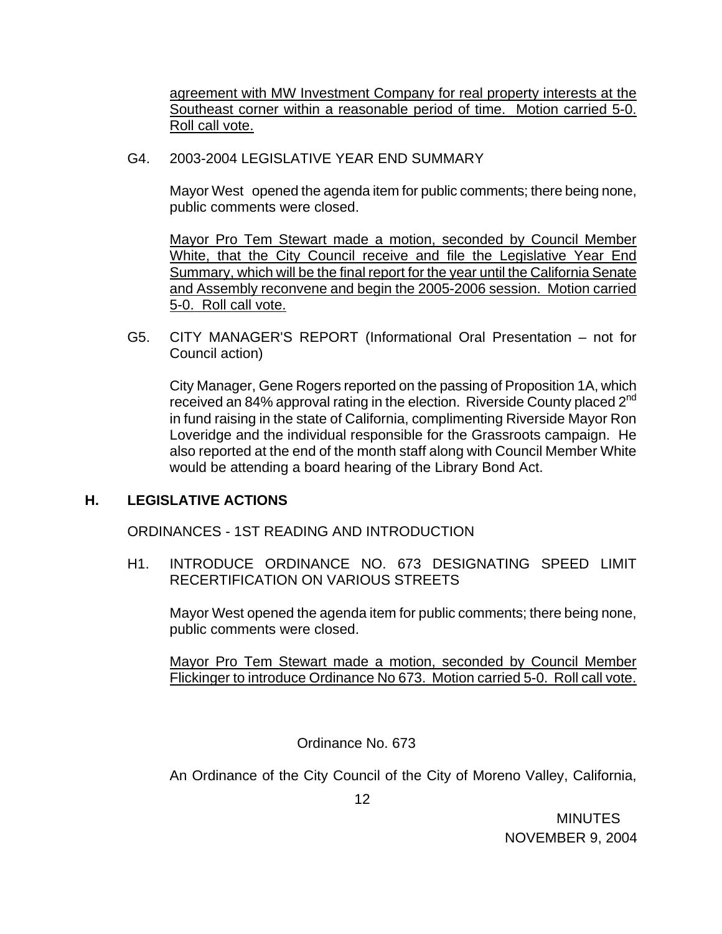agreement with MW Investment Company for real property interests at the Southeast corner within a reasonable period of time. Motion carried 5-0. Roll call vote.

G4. 2003-2004 LEGISLATIVE YEAR END SUMMARY

Mayor West opened the agenda item for public comments; there being none, public comments were closed.

Mayor Pro Tem Stewart made a motion, seconded by Council Member White, that the City Council receive and file the Legislative Year End Summary, which will be the final report for the year until the California Senate and Assembly reconvene and begin the 2005-2006 session. Motion carried 5-0. Roll call vote.

G5. CITY MANAGER'S REPORT (Informational Oral Presentation – not for Council action)

 City Manager, Gene Rogers reported on the passing of Proposition 1A, which received an 84% approval rating in the election. Riverside County placed  $2^{nd}$ in fund raising in the state of California, complimenting Riverside Mayor Ron Loveridge and the individual responsible for the Grassroots campaign. He also reported at the end of the month staff along with Council Member White would be attending a board hearing of the Library Bond Act.

# **H. LEGISLATIVE ACTIONS**

ORDINANCES - 1ST READING AND INTRODUCTION

H1. INTRODUCE ORDINANCE NO. 673 DESIGNATING SPEED LIMIT RECERTIFICATION ON VARIOUS STREETS

Mayor West opened the agenda item for public comments; there being none, public comments were closed.

Mayor Pro Tem Stewart made a motion, seconded by Council Member Flickinger to introduce Ordinance No 673. Motion carried 5-0. Roll call vote.

Ordinance No. 673

An Ordinance of the City Council of the City of Moreno Valley, California,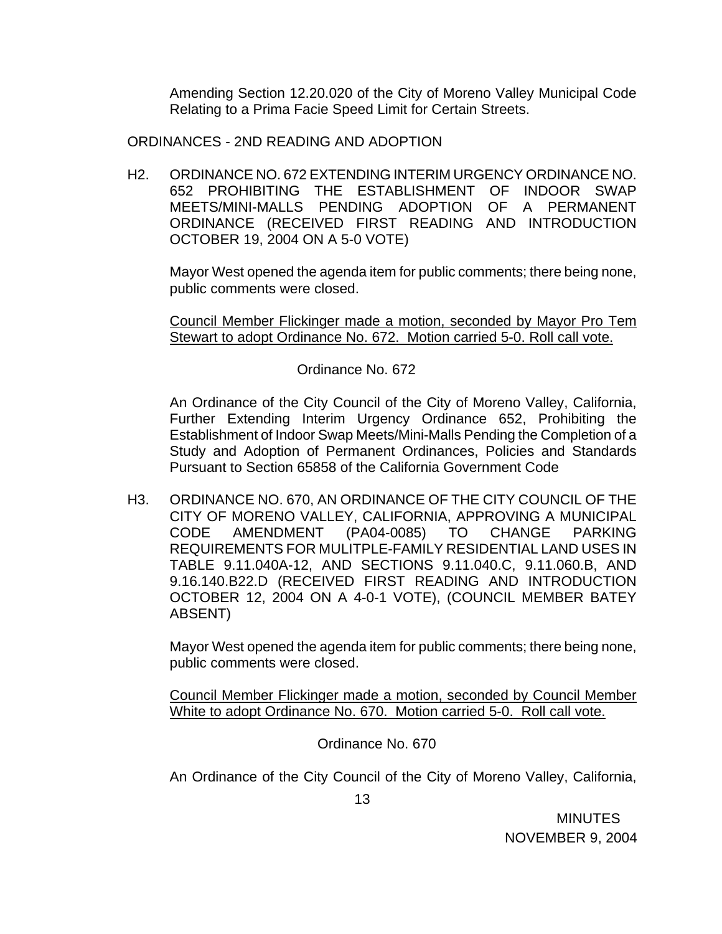Amending Section 12.20.020 of the City of Moreno Valley Municipal Code Relating to a Prima Facie Speed Limit for Certain Streets.

ORDINANCES - 2ND READING AND ADOPTION

 H2. ORDINANCE NO. 672 EXTENDING INTERIM URGENCY ORDINANCE NO. 652 PROHIBITING THE ESTABLISHMENT OF INDOOR SWAP MEETS/MINI-MALLS PENDING ADOPTION OF A PERMANENT ORDINANCE (RECEIVED FIRST READING AND INTRODUCTION OCTOBER 19, 2004 ON A 5-0 VOTE)

Mayor West opened the agenda item for public comments; there being none, public comments were closed.

Council Member Flickinger made a motion, seconded by Mayor Pro Tem Stewart to adopt Ordinance No. 672. Motion carried 5-0. Roll call vote.

## Ordinance No. 672

 An Ordinance of the City Council of the City of Moreno Valley, California, Further Extending Interim Urgency Ordinance 652, Prohibiting the Establishment of Indoor Swap Meets/Mini-Malls Pending the Completion of a Study and Adoption of Permanent Ordinances, Policies and Standards Pursuant to Section 65858 of the California Government Code

 H3. ORDINANCE NO. 670, AN ORDINANCE OF THE CITY COUNCIL OF THE CITY OF MORENO VALLEY, CALIFORNIA, APPROVING A MUNICIPAL CODE AMENDMENT (PA04-0085) TO CHANGE PARKING REQUIREMENTS FOR MULITPLE-FAMILY RESIDENTIAL LAND USES IN TABLE 9.11.040A-12, AND SECTIONS 9.11.040.C, 9.11.060.B, AND 9.16.140.B22.D (RECEIVED FIRST READING AND INTRODUCTION OCTOBER 12, 2004 ON A 4-0-1 VOTE), (COUNCIL MEMBER BATEY ABSENT)

Mayor West opened the agenda item for public comments; there being none, public comments were closed.

Council Member Flickinger made a motion, seconded by Council Member White to adopt Ordinance No. 670. Motion carried 5-0. Roll call vote.

Ordinance No. 670

An Ordinance of the City Council of the City of Moreno Valley, California,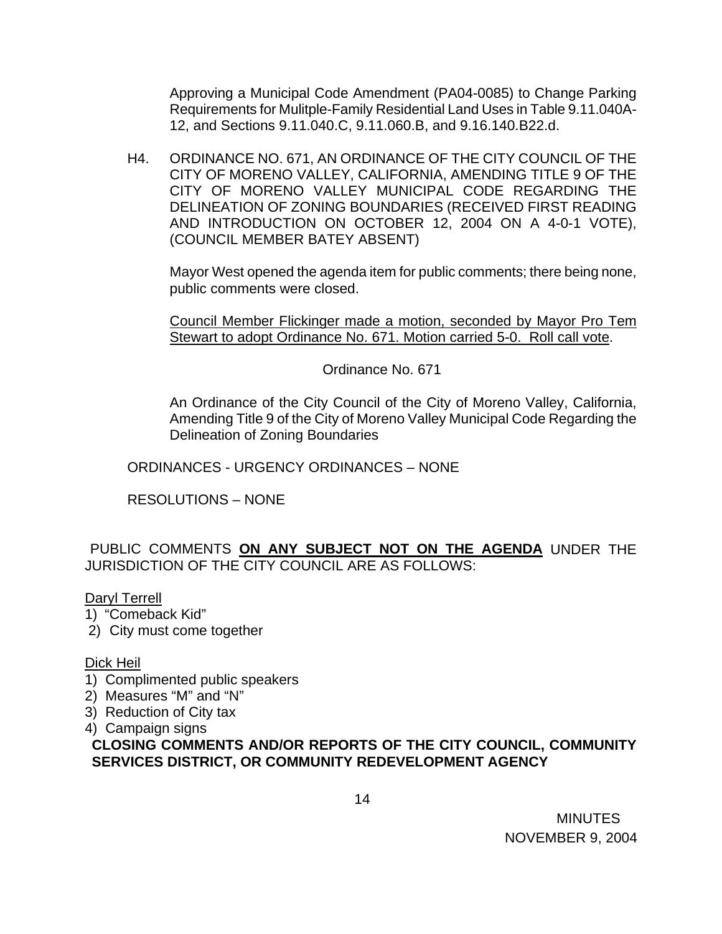Approving a Municipal Code Amendment (PA04-0085) to Change Parking Requirements for Mulitple-Family Residential Land Uses in Table 9.11.040A-12, and Sections 9.11.040.C, 9.11.060.B, and 9.16.140.B22.d.

 H4. ORDINANCE NO. 671, AN ORDINANCE OF THE CITY COUNCIL OF THE CITY OF MORENO VALLEY, CALIFORNIA, AMENDING TITLE 9 OF THE CITY OF MORENO VALLEY MUNICIPAL CODE REGARDING THE DELINEATION OF ZONING BOUNDARIES (RECEIVED FIRST READING AND INTRODUCTION ON OCTOBER 12, 2004 ON A 4-0-1 VOTE), (COUNCIL MEMBER BATEY ABSENT)

Mayor West opened the agenda item for public comments; there being none, public comments were closed.

Council Member Flickinger made a motion, seconded by Mayor Pro Tem Stewart to adopt Ordinance No. 671. Motion carried 5-0. Roll call vote.

Ordinance No. 671

 An Ordinance of the City Council of the City of Moreno Valley, California, Amending Title 9 of the City of Moreno Valley Municipal Code Regarding the Delineation of Zoning Boundaries

ORDINANCES - URGENCY ORDINANCES – NONE

RESOLUTIONS – NONE

PUBLIC COMMENTS **ON ANY SUBJECT NOT ON THE AGENDA** UNDER THE JURISDICTION OF THE CITY COUNCIL ARE AS FOLLOWS:

## Daryl Terrell

- 1) "Comeback Kid"
- 2) City must come together

## Dick Heil

- 1) Complimented public speakers
- 2) Measures "M" and "N"
- 3) Reduction of City tax
- 4) Campaign signs

# **CLOSING COMMENTS AND/OR REPORTS OF THE CITY COUNCIL, COMMUNITY SERVICES DISTRICT, OR COMMUNITY REDEVELOPMENT AGENCY**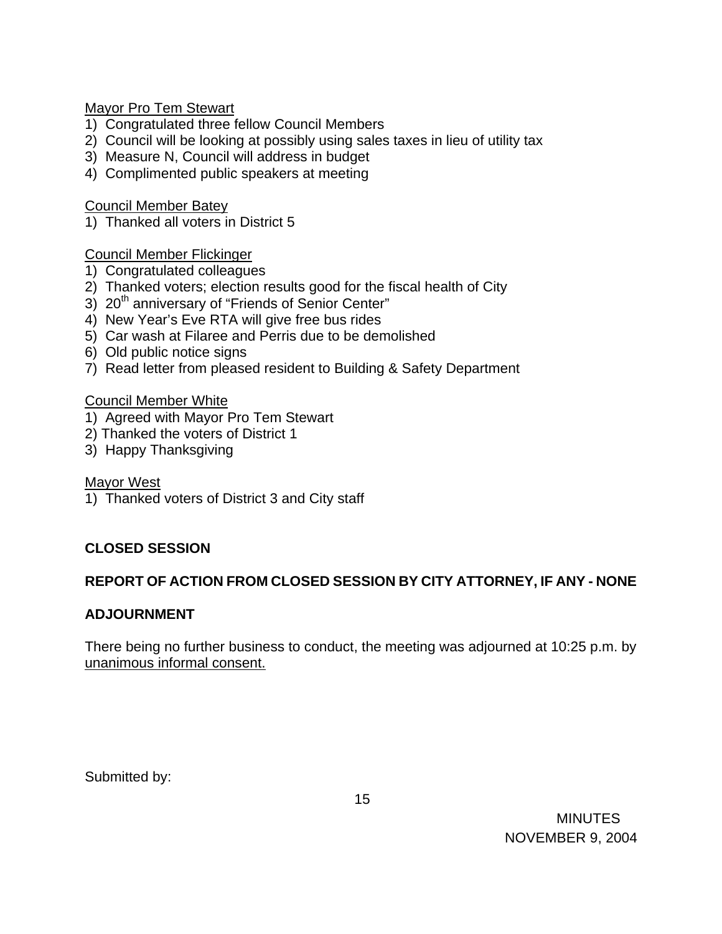Mayor Pro Tem Stewart

- 1) Congratulated three fellow Council Members
- 2) Council will be looking at possibly using sales taxes in lieu of utility tax
- 3) Measure N, Council will address in budget
- 4) Complimented public speakers at meeting

Council Member Batey

1) Thanked all voters in District 5

Council Member Flickinger

- 1) Congratulated colleagues
- 2) Thanked voters; election results good for the fiscal health of City
- 3) 20<sup>th</sup> anniversary of "Friends of Senior Center"
- 4) New Year's Eve RTA will give free bus rides
- 5) Car wash at Filaree and Perris due to be demolished
- 6) Old public notice signs
- 7) Read letter from pleased resident to Building & Safety Department

## Council Member White

- 1) Agreed with Mayor Pro Tem Stewart
- 2) Thanked the voters of District 1
- 3) Happy Thanksgiving

Mayor West

1) Thanked voters of District 3 and City staff

# **CLOSED SESSION**

# **REPORT OF ACTION FROM CLOSED SESSION BY CITY ATTORNEY, IF ANY - NONE**

## **ADJOURNMENT**

There being no further business to conduct, the meeting was adjourned at 10:25 p.m. by unanimous informal consent.

Submitted by: